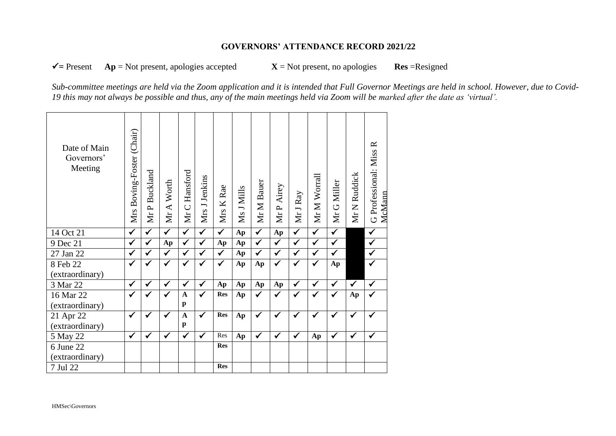## **GOVERNORS' ATTENDANCE RECORD 2021/22**

 $\checkmark$  = Present  $\hat{A}p$  = Not present, apologies accepted  $\checkmark$  = Not present, no apologies **Res** = Resigned

*Sub-committee meetings are held via the Zoom application and it is intended that Full Governor Meetings are held in school. However, due to Covid-19 this may not always be possible and thus, any of the main meetings held via Zoom will be marked after the date as 'virtual'.*

| Date of Main<br>Governors'<br>Meeting | Mrs Boving-Foster (Chair) | Buckland<br>MrP         | Mr A Worth              | Hansford<br>$\cup$<br>$\overline{\mathbf{M}}$ | Mrs J Jenkins           | Mrs K Rae               | Ms J Mills | Mr M Bauer              | Mr P Airey              | Mr J Ray                | Mr M Worrall         | Mr G Miller             | Ruddick<br>MrN | $\approx$<br>G Professional: Miss<br>McMann |
|---------------------------------------|---------------------------|-------------------------|-------------------------|-----------------------------------------------|-------------------------|-------------------------|------------|-------------------------|-------------------------|-------------------------|----------------------|-------------------------|----------------|---------------------------------------------|
| 14 Oct 21                             | $\checkmark$              | $\overline{\checkmark}$ | $\overline{\checkmark}$ | $\overline{\checkmark}$                       | $\overline{\checkmark}$ | $\overline{\checkmark}$ | Ap         | $\overline{\checkmark}$ | Ap                      | $\overline{\checkmark}$ | $\blacktriangledown$ | $\overline{\checkmark}$ |                | $\blacklozenge$                             |
| 9 Dec 21                              | $\checkmark$              | $\checkmark$            | Ap                      | $\checkmark$                                  | $\checkmark$            | Ap                      | Ap         | $\overline{\checkmark}$ | $\overline{\checkmark}$ | $\checkmark$            | $\checkmark$         | $\checkmark$            |                | $\checkmark$                                |
| 27 Jan 22                             | ✓                         | $\checkmark$            | $\checkmark$            | $\checkmark$                                  | ✔                       | $\checkmark$            | Ap         | $\checkmark$            | $\checkmark$            | $\checkmark$            | $\checkmark$         | $\checkmark$            |                | $\checkmark$                                |
| 8 Feb 22                              | $\checkmark$              | $\checkmark$            | $\checkmark$            | $\checkmark$                                  | ✓                       | $\checkmark$            | Ap         | Ap                      | $\checkmark$            | $\checkmark$            | $\checkmark$         | Ap                      |                | $\checkmark$                                |
| (extraordinary)                       |                           |                         |                         |                                               |                         |                         |            |                         |                         |                         |                      |                         |                |                                             |
| 3 Mar 22                              | ✓                         | ✓                       | $\checkmark$            | $\checkmark$                                  | $\checkmark$            | Ap                      | Ap         | Ap                      | Ap                      | $\checkmark$            | $\checkmark$         | $\checkmark$            | $\checkmark$   | $\checkmark$                                |
| 16 Mar 22                             | ✓                         | $\checkmark$            | $\checkmark$            | $\mathbf A$                                   | $\checkmark$            | <b>Res</b>              | Ap         | $\checkmark$            | $\checkmark$            | $\checkmark$            | $\checkmark$         | ✓                       | Ap             | $\checkmark$                                |
| (extraordinary)                       |                           |                         |                         | $\mathbf{p}$                                  |                         |                         |            |                         |                         |                         |                      |                         |                |                                             |
| 21 Apr 22                             | ✓                         | ✓                       | ✓                       | $\mathbf{A}$                                  | $\checkmark$            | <b>Res</b>              | Ap         | $\checkmark$            | $\checkmark$            | $\checkmark$            | $\checkmark$         | $\checkmark$            | ✓              | $\checkmark$                                |
| (extraordinary)                       |                           |                         |                         | $\mathbf{p}$                                  |                         |                         |            |                         |                         |                         |                      |                         |                |                                             |
| 5 May 22                              | $\checkmark$              | $\checkmark$            | $\checkmark$            | $\checkmark$                                  | $\mathbf{\hat{V}}$      | Res                     | Ap         | $\checkmark$            | $\checkmark$            | $\checkmark$            | Ap                   | $\checkmark$            | $\checkmark$   | $\checkmark$                                |
| 6 June 22                             |                           |                         |                         |                                               |                         | <b>Res</b>              |            |                         |                         |                         |                      |                         |                |                                             |
| (extraordinary)                       |                           |                         |                         |                                               |                         |                         |            |                         |                         |                         |                      |                         |                |                                             |
| 7 Jul 22                              |                           |                         |                         |                                               |                         | <b>Res</b>              |            |                         |                         |                         |                      |                         |                |                                             |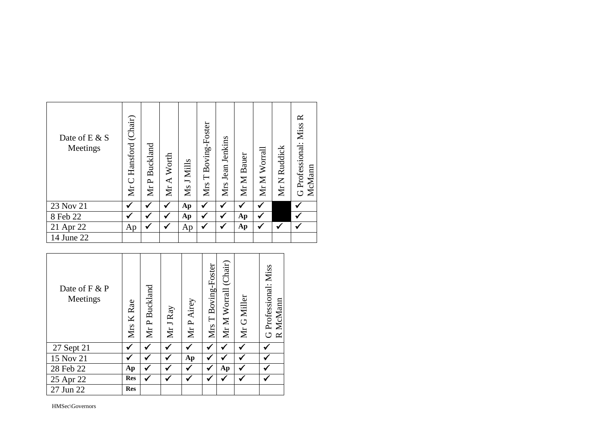| Date of E & S<br>Meetings | Hansford (Chair)<br>$\cup$<br>Mr | Mr P Buckland | Worth<br>$\blacktriangleleft$<br>Йr | Ms J Mills | Boving-Foster<br>$\vdash$<br>Mrs | Mrs Jean Jenkins | Mr M Bauer | Mr M Worrall | Ruddick<br>Mr N | $\approx$<br>G Professional: Miss<br>McMann |
|---------------------------|----------------------------------|---------------|-------------------------------------|------------|----------------------------------|------------------|------------|--------------|-----------------|---------------------------------------------|
| 23 Nov 21                 | ✓                                | √             | ✔                                   | Ap         | ✔                                | ✓                | √          | ✔            |                 |                                             |
| 8 Feb 22                  | ✓                                | ✔             | ✔                                   | Ap         | ✔                                | ✔                | Ap         |              |                 |                                             |
| 21 Apr 22                 | Ap                               | ✔             | ✔                                   | Ap         | ✔                                | ✔                | Ap         | ✔            | √               |                                             |
| 14 June 22                |                                  |               |                                     |            |                                  |                  |            |              |                 |                                             |

| Date of F & P<br>Meetings | Mrs K Rae  | Mr P Buckland | Mr J Ray | Mr P Airey | Mrs T Boving-Foster | (Chair)<br>Mr M Worrall | Mr G Miller | G Professional: Miss<br>McMann<br>$\approx$ |
|---------------------------|------------|---------------|----------|------------|---------------------|-------------------------|-------------|---------------------------------------------|
| 27 Sept 21                |            | ✔             |          |            | ✔                   |                         |             |                                             |
| 15 Nov 21                 |            | ✔             | ✔        | Ap         | √                   |                         |             |                                             |
| 28 Feb 22                 | Ap         | √             |          |            | √                   | Ap                      |             |                                             |
| 25 Apr 22                 | <b>Res</b> |               |          |            | ✔                   |                         |             |                                             |
| 27 Jun 22                 | <b>Res</b> |               |          |            |                     |                         |             |                                             |

HMSec\Governors